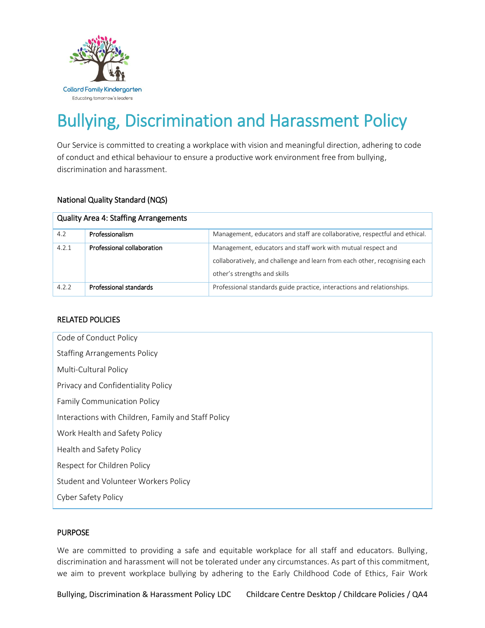

# Bullying, Discrimination and Harassment Policy

Our Service is committed to creating a workplace with vision and meaningful direction, adhering to code of conduct and ethical behaviour to ensure a productive work environment free from bullying, discrimination and harassment.

#### National Quality Standard (NQS)

| <b>Quality Area 4: Staffing Arrangements</b> |                            |                                                                                                                                                                            |  |  |
|----------------------------------------------|----------------------------|----------------------------------------------------------------------------------------------------------------------------------------------------------------------------|--|--|
| 4.2                                          | Professionalism            | Management, educators and staff are collaborative, respectful and ethical.                                                                                                 |  |  |
| 4.2.1                                        | Professional collaboration | Management, educators and staff work with mutual respect and<br>collaboratively, and challenge and learn from each other, recognising each<br>other's strengths and skills |  |  |
| 4.2.2                                        | Professional standards     | Professional standards guide practice, interactions and relationships.                                                                                                     |  |  |

## RELATED POLICIES

| Code of Conduct Policy                              |  |  |  |
|-----------------------------------------------------|--|--|--|
| <b>Staffing Arrangements Policy</b>                 |  |  |  |
| Multi-Cultural Policy                               |  |  |  |
| Privacy and Confidentiality Policy                  |  |  |  |
| <b>Family Communication Policy</b>                  |  |  |  |
| Interactions with Children, Family and Staff Policy |  |  |  |
| Work Health and Safety Policy                       |  |  |  |
| Health and Safety Policy                            |  |  |  |
| Respect for Children Policy                         |  |  |  |
| Student and Volunteer Workers Policy                |  |  |  |
| Cyber Safety Policy                                 |  |  |  |

## PURPOSE

We are committed to providing a safe and equitable workplace for all staff and educators. Bullying, discrimination and harassment will not be tolerated under any circumstances. As part of this commitment, we aim to prevent workplace bullying by adhering to the Early Childhood Code of Ethics, Fair Work

Bullying, Discrimination & Harassment Policy LDC Childcare Centre Desktop / Childcare Policies / QA4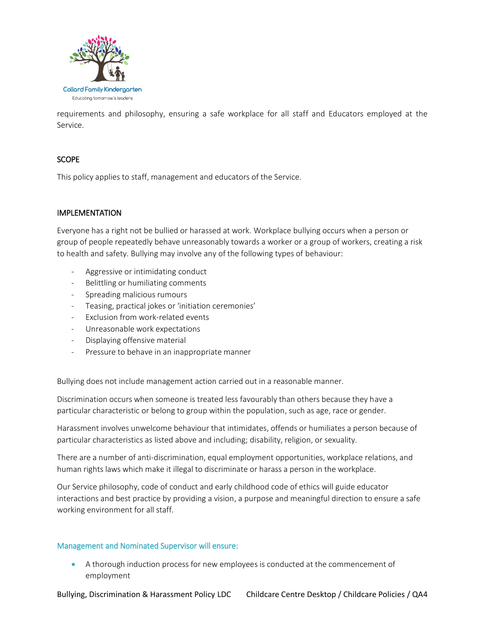

requirements and philosophy, ensuring a safe workplace for all staff and Educators employed at the Service.

## **SCOPE**

This policy applies to staff, management and educators of the Service.

## IMPLEMENTATION

Everyone has a right not be bullied or harassed at work. Workplace bullying occurs when a person or group of people repeatedly behave unreasonably towards a worker or a group of workers, creating a risk to health and safety. Bullying may involve any of the following types of behaviour:

- Aggressive or intimidating conduct
- Belittling or humiliating comments
- Spreading malicious rumours
- Teasing, practical jokes or 'initiation ceremonies'
- Exclusion from work-related events
- Unreasonable work expectations
- Displaying offensive material
- Pressure to behave in an inappropriate manner

Bullying does not include management action carried out in a reasonable manner.

Discrimination occurs when someone is treated less favourably than others because they have a particular characteristic or belong to group within the population, such as age, race or gender.

Harassment involves unwelcome behaviour that intimidates, offends or humiliates a person because of particular characteristics as listed above and including; disability, religion, or sexuality.

There are a number of anti-discrimination, equal employment opportunities, workplace relations, and human rights laws which make it illegal to discriminate or harass a person in the workplace.

Our Service philosophy, code of conduct and early childhood code of ethics will guide educator interactions and best practice by providing a vision, a purpose and meaningful direction to ensure a safe working environment for all staff.

#### Management and Nominated Supervisor will ensure:

 A thorough induction process for new employees is conducted at the commencement of employment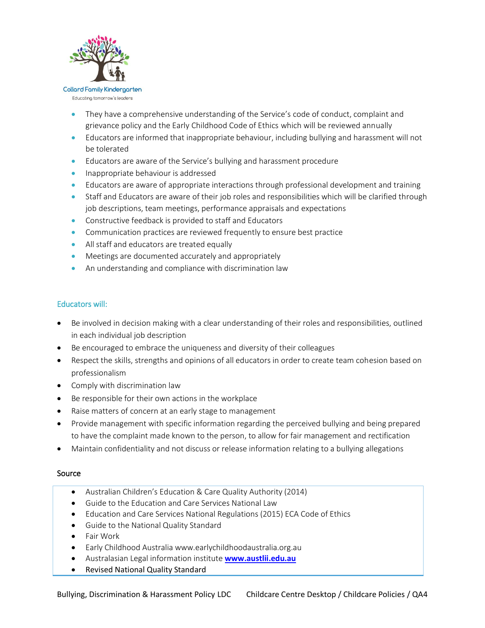

Educating tomorrow's leaders

 They have a comprehensive understanding of the Service's code of conduct, complaint and grievance policy and the Early Childhood Code of Ethics which will be reviewed annually

- Educators are informed that inappropriate behaviour, including bullying and harassment will not be tolerated
- Educators are aware of the Service's bullying and harassment procedure
- **Inappropriate behaviour is addressed**
- Educators are aware of appropriate interactions through professional development and training
- Staff and Educators are aware of their job roles and responsibilities which will be clarified through job descriptions, team meetings, performance appraisals and expectations
- Constructive feedback is provided to staff and Educators
- Communication practices are reviewed frequently to ensure best practice
- All staff and educators are treated equally
- Meetings are documented accurately and appropriately
- An understanding and compliance with discrimination law

## Educators will:

- Be involved in decision making with a clear understanding of their roles and responsibilities, outlined in each individual job description
- Be encouraged to embrace the uniqueness and diversity of their colleagues
- Respect the skills, strengths and opinions of all educators in order to create team cohesion based on professionalism
- Comply with discrimination law
- Be responsible for their own actions in the workplace
- Raise matters of concern at an early stage to management
- Provide management with specific information regarding the perceived bullying and being prepared to have the complaint made known to the person, to allow for fair management and rectification
- Maintain confidentiality and not discuss or release information relating to a bullying allegations

#### Source

- Australian Children's Education & Care Quality Authority (2014)
- Guide to the Education and Care Services National Law
- Education and Care Services National Regulations (2015) ECA Code of Ethics
- Guide to the National Quality Standard
- Fair Work
- Early Childhood Australia [www.earlychildhoodaustralia.org.au](http://www.earlychildhoodaustralia.org.au/)
- Australasian Legal information institute **[www.austlii.edu.au](http://www.austlii.edu.au/)**
- Revised National Quality Standard